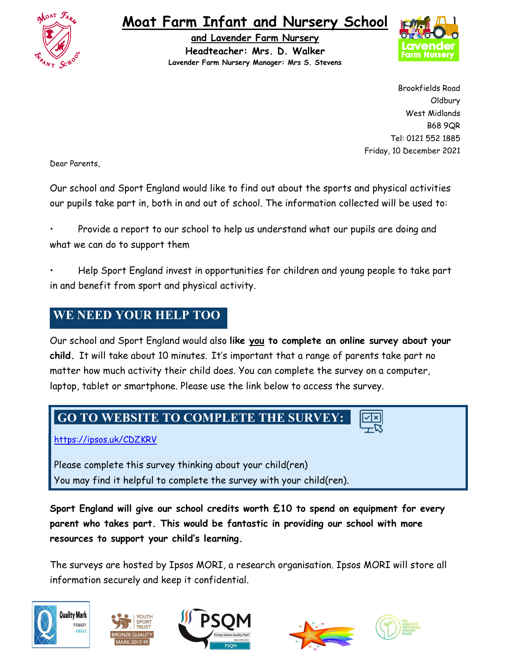

# Moat Farm Infant and Nursery School

and Lavender Farm Nursery Headteacher: Mrs. D. Walker Lavender Farm Nursery Manager: Mrs S. Stevens



Brookfields Road Oldbury West Midlands B68 9QR Tel: 0121 552 1885 Friday, 10 December 2021

Dear Parents,

Our school and Sport England would like to find out about the sports and physical activities our pupils take part in, both in and out of school. The information collected will be used to:

• Provide a report to our school to help us understand what our pupils are doing and what we can do to support them

• Help Sport England invest in opportunities for children and young people to take part in and benefit from sport and physical activity.

### WE NEED YOUR HELP TOO

Our school and Sport England would also like you to complete an online survey about your child. It will take about 10 minutes. It's important that a range of parents take part no matter how much activity their child does. You can complete the survey on a computer, laptop, tablet or smartphone. Please use the link below to access the survey.

#### GO TO WEBSITE TO COMPLETE THE SURVEY:

https://ipsos.uk/CDZKRV

Please complete this survey thinking about your child(ren) You may find it helpful to complete the survey with your child(ren).

Sport England will give our school credits worth £10 to spend on equipment for every parent who takes part. This would be fantastic in providing our school with more resources to support your child's learning.

The surveys are hosted by Ipsos MORI, a research organisation. Ipsos MORI will store all information securely and keep it confidential.









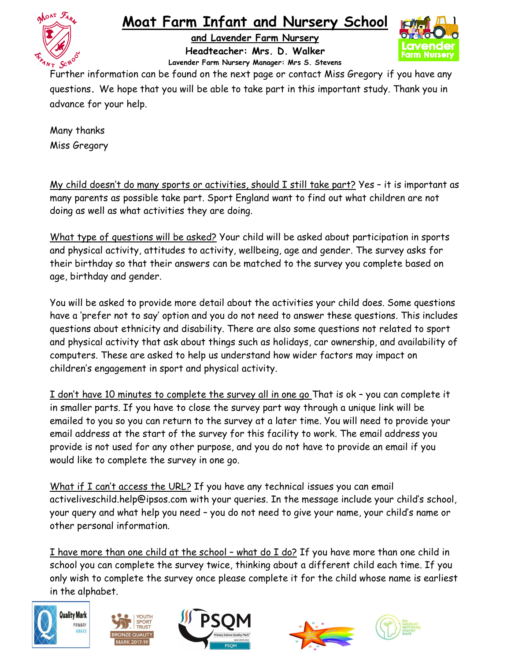

# Moat Farm Infant and Nursery School

and Lavender Farm Nursery Headteacher: Mrs. D. Walker Lavender Farm Nursery Manager: Mrs S. Stevens



Further information can be found on the next page or contact Miss Gregory if you have any questions. We hope that you will be able to take part in this important study. Thank you in advance for your help.

Many thanks Miss Gregory

My child doesn't do many sports or activities, should I still take part? Yes – it is important as many parents as possible take part. Sport England want to find out what children are not doing as well as what activities they are doing.

What type of questions will be asked? Your child will be asked about participation in sports and physical activity, attitudes to activity, wellbeing, age and gender. The survey asks for their birthday so that their answers can be matched to the survey you complete based on age, birthday and gender.

You will be asked to provide more detail about the activities your child does. Some questions have a 'prefer not to say' option and you do not need to answer these questions. This includes questions about ethnicity and disability. There are also some questions not related to sport and physical activity that ask about things such as holidays, car ownership, and availability of computers. These are asked to help us understand how wider factors may impact on children's engagement in sport and physical activity.

I don't have 10 minutes to complete the survey all in one go That is ok – you can complete it in smaller parts. If you have to close the survey part way through a unique link will be emailed to you so you can return to the survey at a later time. You will need to provide your email address at the start of the survey for this facility to work. The email address you provide is not used for any other purpose, and you do not have to provide an email if you would like to complete the survey in one go.

What if I can't access the URL? If you have any technical issues you can email activeliveschild.help@ipsos.com with your queries. In the message include your child's school, your query and what help you need – you do not need to give your name, your child's name or other personal information.

I have more than one child at the school – what do I do? If you have more than one child in school you can complete the survey twice, thinking about a different child each time. If you only wish to complete the survey once please complete it for the child whose name is earliest in the alphabet.